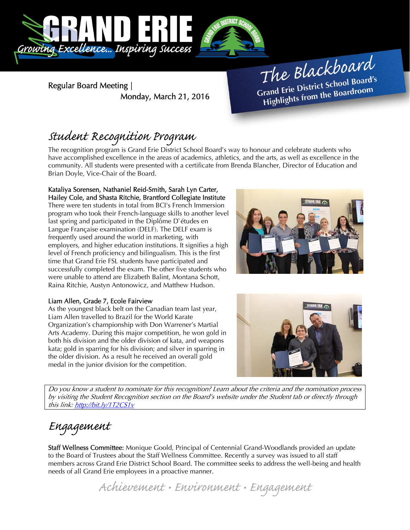

Regular Board Meeting | Monday, March 21, 2016

The Blackboard The Burnor<br>Grand Erie District School Board's<br>Little from the Boardroom rand Erie District Schoor Bod.<br>Highlights from the Boardroom

## Student Recognition Program

The recognition program is Grand Erie District School Board's way to honour and celebrate students who have accomplished excellence in the areas of academics, athletics, and the arts, as well as excellence in the community. All students were presented with a certificate from Brenda Blancher, Director of Education and Brian Doyle, Vice-Chair of the Board.

#### Kataliya Sorensen, Nathaniel Reid-Smith, Sarah Lyn Carter, Hailey Cole, and Shasta Ritchie, Brantford Collegiate Institute

There were ten students in total from BCI's French Immersion program who took their French-language skills to another level last spring and participated in the Diplôme D`études en Langue Française examination (DELF). The DELF exam is frequently used around the world in marketing, with employers, and higher education institutions. It signifies a high level of French proficiency and bilingualism. This is the first time that Grand Erie FSL students have participated and successfully completed the exam. The other five students who were unable to attend are Elizabeth Balint, Montana Schott, Raina Ritchie, Austyn Antonowicz, and Matthew Hudson.

### Liam Allen, Grade 7, Ecole Fairview

As the youngest black belt on the Canadian team last year, Liam Allen travelled to Brazil for the World Karate Organization's championship with Don Warrener's Martial Arts Academy. During this major competition, he won gold in both his division and the older division of kata, and weapons kata; gold in sparring for his division; and silver in sparring in the older division. As a result he received an overall gold medal in the junior division for the competition.





Do you know a student to nominate for this recognition? Learn about the criteria and the nomination process by visiting the Student Recognition section on the Board's website under the Student tab or directly through this link: http://bit.ly/1T2CS1v

# Engagement

Staff Wellness Committee: Monique Goold, Principal of Centennial Grand-Woodlands provided an update to the Board of Trustees about the Staff Wellness Committee. Recently a survey was issued to all staff members across Grand Erie District School Board. The committee seeks to address the well-being and health needs of all Grand Erie employees in a proactive manner.

Achievement • Environment • Engagement